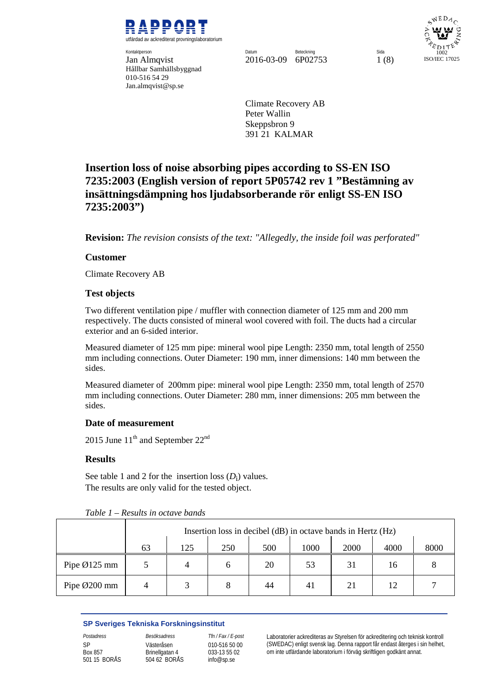

**Kontaktperson** Hållbar Samhällsbyggnad 010-516 54 29 Jan.almqvist@sp.se

Kontaktperson Datum Beteckning Sida Jan Almqvist 2016-03-09 6P02753 1 (8)

 $WEDA<sub>O</sub>$ 1002 ISO/IEC 17025

Climate Recovery AB Peter Wallin Skeppsbron 9 391 21 KALMAR

# **Insertion loss of noise absorbing pipes according to SS-EN ISO 7235:2003 (English version of report 5P05742 rev 1 "Bestämning av insättningsdämpning hos ljudabsorberande rör enligt SS-EN ISO 7235:2003")**

**Revision:** *The revision consists of the text: "Allegedly, the inside foil was perforated"* 

## **Customer**

Climate Recovery AB

## **Test objects**

Two different ventilation pipe / muffler with connection diameter of 125 mm and 200 mm respectively. The ducts consisted of mineral wool covered with foil. The ducts had a circular exterior and an 6-sided interior.

Measured diameter of 125 mm pipe: mineral wool pipe Length: 2350 mm, total length of 2550 mm including connections. Outer Diameter: 190 mm, inner dimensions: 140 mm between the sides.

Measured diameter of 200mm pipe: mineral wool pipe Length: 2350 mm, total length of 2570 mm including connections. Outer Diameter: 280 mm, inner dimensions: 205 mm between the sides.

### **Date of measurement**

2015 June  $11^{th}$  and September  $22^{nd}$ 

### **Results**

See table 1 and 2 for the insertion loss  $(D_i)$  values. The results are only valid for the tested object.

|                         | Insertion loss in decibel (dB) in octave bands in Hertz (Hz) |     |     |     |      |             |      |      |
|-------------------------|--------------------------------------------------------------|-----|-----|-----|------|-------------|------|------|
|                         | 63                                                           | 125 | 250 | 500 | 1000 | <b>2000</b> | 4000 | 8000 |
| Pipe $\emptyset$ 125 mm |                                                              | 4   | h   | 20  | 53   | 31          | 16   |      |
| Pipe Ø200 mm            |                                                              | 3   |     | 44  | 41   | 21          | 12   |      |

*Table 1 – Results in octave bands*

### **SP Sveriges Tekniska Forskningsinstitut**

SP Box 857 501 15 BORÅS Västeråsen Brinellgatan 4 504 62 BORÅS

010-516 50 00 033-13 55 02 info@sp.se

*Postadress Besöksadress Tfn / Fax / E-post* Laboratorier ackrediteras av Styrelsen för ackreditering och teknisk kontroll (SWEDAC) enligt svensk lag. Denna rapport får endast återges i sin helhet, om inte utfärdande laboratorium i förväg skriftligen godkänt annat.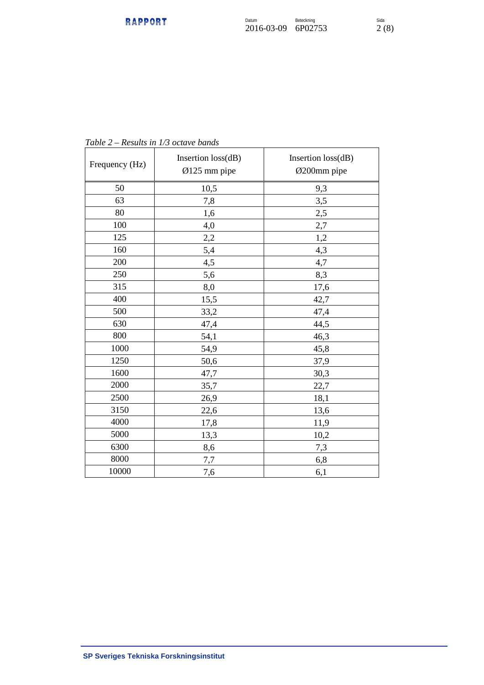| Frequency (Hz) | Insertion loss(dB)<br>Ø125 mm pipe | Insertion loss(dB)<br>Ø200mm pipe |  |
|----------------|------------------------------------|-----------------------------------|--|
| 50             | 10,5                               | 9,3                               |  |
| 63             | 7,8                                | 3,5                               |  |
| 80             | 1,6                                | 2,5                               |  |
| 100            | 4,0                                | 2,7                               |  |
| 125            | 2,2                                | 1,2                               |  |
| 160            | 5,4                                | 4,3                               |  |
| 200            | 4,5                                | 4,7                               |  |
| 250            | 5,6                                | 8,3                               |  |
| 315            | 8,0                                | 17,6                              |  |
| 400            | 15,5                               | 42,7                              |  |
| 500            | 33,2                               | 47,4                              |  |
| 630            | 47,4                               | 44,5                              |  |
| 800            | 54,1                               | 46,3                              |  |
| 1000           | 54,9                               | 45,8                              |  |
| 1250           | 50,6                               | 37,9                              |  |
| 1600           | 47,7                               | 30,3                              |  |
| 2000           | 35,7                               | 22,7                              |  |
| 2500           | 26,9                               | 18,1                              |  |
| 3150           | 22,6                               | 13,6                              |  |
| 4000           | 17,8                               | 11,9                              |  |
| 5000           | 13,3                               | 10,2                              |  |
| 6300           | 8,6                                | 7,3                               |  |
| 8000           | 7,7                                | 6,8                               |  |
| 10000          | 7,6                                | 6,1                               |  |

*Table 2 – Results in 1/3 octave bands*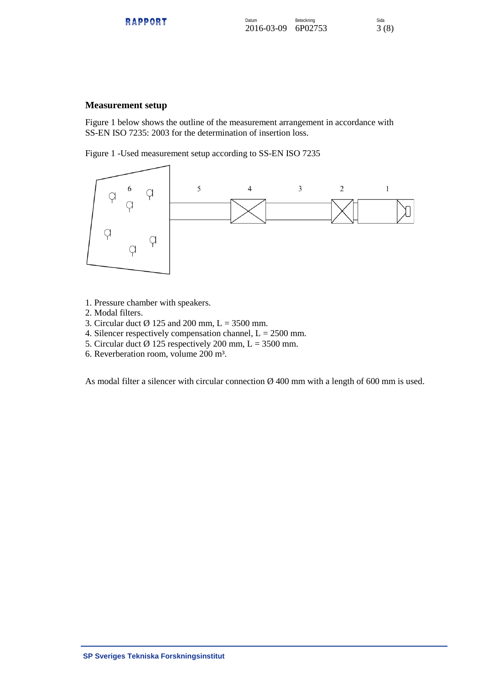| <b>DADDADT</b><br>-------<br>naffvni | Datum<br>2016-03-09 6P02753 | Beteckning | Sida<br>3(8) |
|--------------------------------------|-----------------------------|------------|--------------|
|                                      |                             |            |              |

#### **Measurement setup**

Figure 1 below shows the outline of the measurement arrangement in accordance with SS-EN ISO 7235: 2003 for the determination of insertion loss.

Figure 1 -Used measurement setup according to SS-EN ISO 7235



- 1. Pressure chamber with speakers.
- 2. Modal filters.
- 3. Circular duct  $\varnothing$  125 and 200 mm, L = 3500 mm.
- 4. Silencer respectively compensation channel,  $L = 2500$  mm.
- 5. Circular duct  $\varnothing$  125 respectively 200 mm, L = 3500 mm.
- 6. Reverberation room, volume 200 m³.

As modal filter a silencer with circular connection Ø 400 mm with a length of 600 mm is used.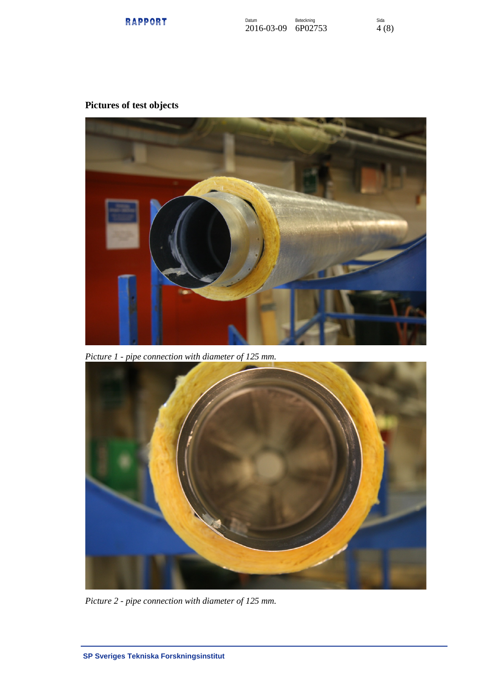

# **Pictures of test objects**



*Picture 1 - pipe connection with diameter of 125 mm.*



*Picture 2 - pipe connection with diameter of 125 mm.*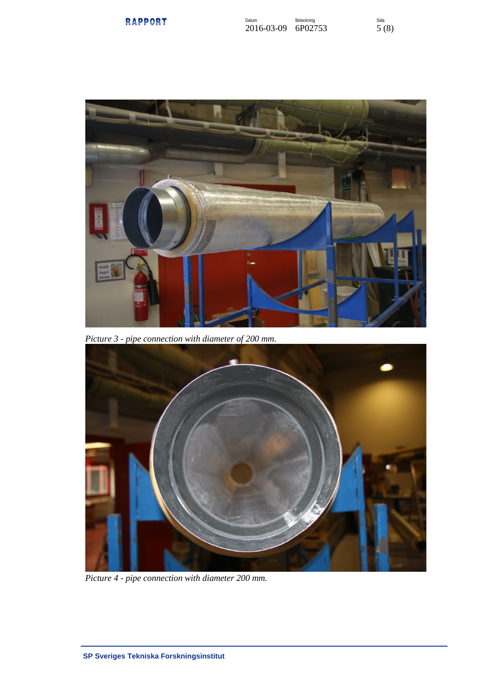



*Picture 3 - pipe connection with diameter of 200 mm.*



*Picture 4 - pipe connection with diameter 200 mm.*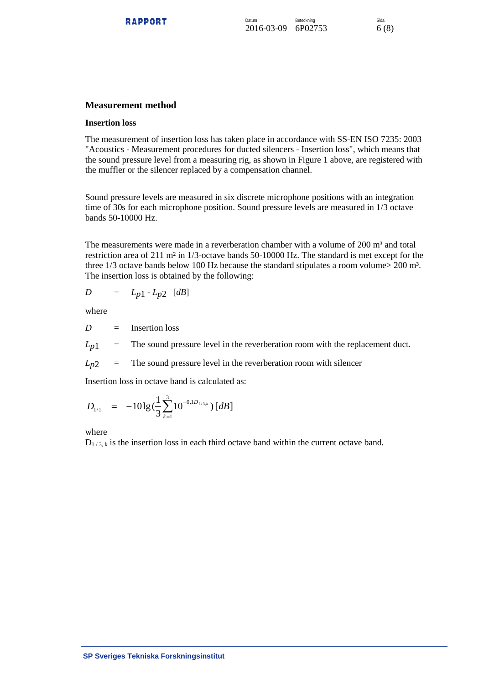## **Measurement method**

#### **Insertion loss**

The measurement of insertion loss has taken place in accordance with SS-EN ISO 7235: 2003 "Acoustics - Measurement procedures for ducted silencers - Insertion loss", which means that the sound pressure level from a measuring rig, as shown in Figure 1 above, are registered with the muffler or the silencer replaced by a compensation channel.

Sound pressure levels are measured in six discrete microphone positions with an integration time of 30s for each microphone position. Sound pressure levels are measured in 1/3 octave bands 50-10000 Hz.

The measurements were made in a reverberation chamber with a volume of  $200 \text{ m}^3$  and total restriction area of 211 m² in 1/3-octave bands 50-10000 Hz. The standard is met except for the three  $1/3$  octave bands below 100 Hz because the standard stipulates a room volume $> 200$  m<sup>3</sup>. The insertion loss is obtained by the following:

$$
D = L_{p1} - L_{p2} [dB]
$$

where

*D* = Insertion loss

 $L_{p1}$  = The sound pressure level in the reverberation room with the replacement duct.

 $L_{p2}$  = The sound pressure level in the reverberation room with silencer

Insertion loss in octave band is calculated as:

$$
D_{1/1} = -10\lg(\frac{1}{3}\sum_{k=1}^{3}10^{-0,1D_{1/3,k}})[dB]
$$

### where

 $D_{1/3,k}$  is the insertion loss in each third octave band within the current octave band.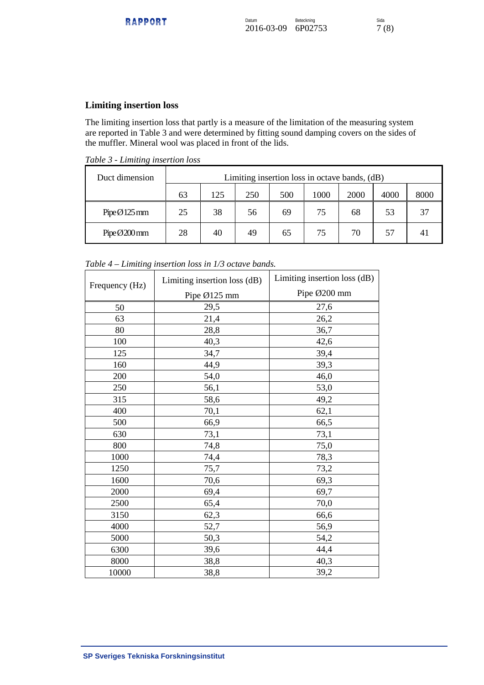## **Limiting insertion loss**

The limiting insertion loss that partly is a measure of the limitation of the measuring system are reported in Table 3 and were determined by fitting sound damping covers on the sides of the muffler. Mineral wool was placed in front of the lids.

*Table 3 - Limiting insertion loss*

| Duct dimension | Limiting insertion loss in octave bands, (dB) |     |     |     |      |      |      |      |
|----------------|-----------------------------------------------|-----|-----|-----|------|------|------|------|
|                | 63                                            | 125 | 250 | 500 | 1000 | 2000 | 4000 | 8000 |
| $PipeØ125$ mm  | 25                                            | 38  | 56  | 69  | 75   | 68   | 53   | 37   |
| PipeØ200mm     | 28                                            | 40  | 49  | 65  | 75   | 70   | 57   |      |

*Table 4 – Limiting insertion loss in 1/3 octave bands.*

| Frequency (Hz) | Limiting insertion loss (dB) | Limiting insertion loss (dB) |  |  |
|----------------|------------------------------|------------------------------|--|--|
|                | Pipe Ø125 mm                 | Pipe Ø200 mm                 |  |  |
| 50             | 29,5                         | 27,6                         |  |  |
| 63             | 21,4                         | 26,2                         |  |  |
| 80             | 28,8                         | 36,7                         |  |  |
| 100            | 40,3                         | 42,6                         |  |  |
| 125            | 34,7                         | 39,4                         |  |  |
| 160            | 44,9                         | 39,3                         |  |  |
| 200            | 54,0                         | 46,0                         |  |  |
| 250            | 56,1                         | 53,0                         |  |  |
| 315            | 58,6                         | 49,2                         |  |  |
| 400            | 70,1                         | 62,1                         |  |  |
| 500            | 66,9                         | 66,5                         |  |  |
| 630            | 73,1                         | 73,1                         |  |  |
| 800            | 74,8                         | 75,0                         |  |  |
| 1000           | 74,4                         | 78,3                         |  |  |
| 1250           | 75,7                         | 73,2                         |  |  |
| 1600           | 70,6                         | 69,3                         |  |  |
| 2000           | 69,4                         | 69,7                         |  |  |
| 2500           | 65,4                         | 70,0                         |  |  |
| 3150           | 62,3                         | 66,6                         |  |  |
| 4000           | 52,7                         | 56,9                         |  |  |
| 5000           | 50,3                         | 54,2                         |  |  |
| 6300           | 39,6                         | 44,4                         |  |  |
| 8000           | 38,8                         | 40,3                         |  |  |
| 10000          | 38,8                         | 39,2                         |  |  |